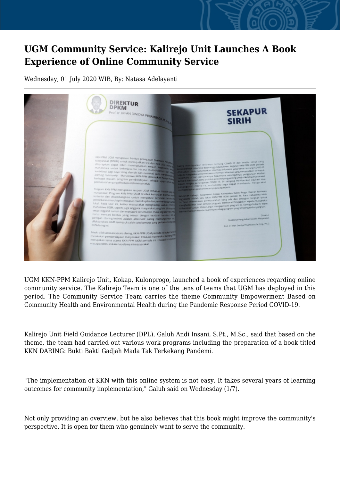## **UGM Community Service: Kalirejo Unit Launches A Book Experience of Online Community Service**

Wednesday, 01 July 2020 WIB, By: Natasa Adelayanti



UGM KKN-PPM Kalirejo Unit, Kokap, Kulonprogo, launched a book of experiences regarding online community service. The Kalirejo Team is one of the tens of teams that UGM has deployed in this period. The Community Service Team carries the theme Community Empowerment Based on Community Health and Environmental Health during the Pandemic Response Period COVID-19.

Kalirejo Unit Field Guidance Lecturer (DPL), Galuh Andi Insani, S.Pt., M.Sc., said that based on the theme, the team had carried out various work programs including the preparation of a book titled KKN DARING: Bukti Bakti Gadjah Mada Tak Terkekang Pandemi.

"The implementation of KKN with this online system is not easy. It takes several years of learning outcomes for community implementation," Galuh said on Wednesday (1/7).

Not only providing an overview, but he also believes that this book might improve the community's perspective. It is open for them who genuinely want to serve the community.